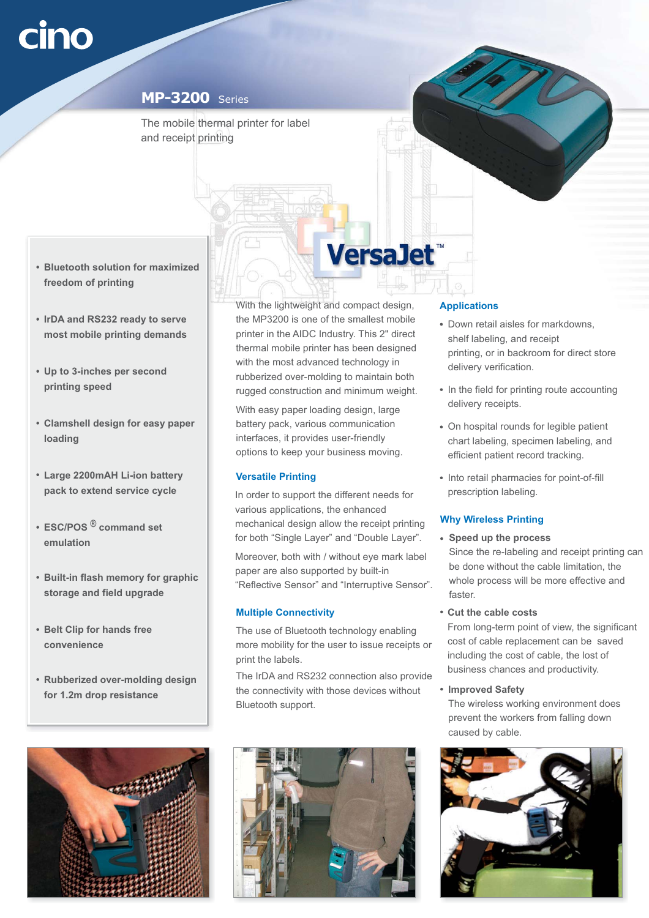#### **MP-3200** Series

The mobile thermal printer for label and receipt printing

- **Bluetooth solution for maximized freedom of printing**
- **IrDA and RS232 ready to serve most mobile printing demands**
- **Up to 3-inches per second printing speed**
- **Clamshell design for easy paper loading**
- **Large 2200mAH Li-ion battery pack to extend service cycle**
- **ESC/POS command set ® emulation**
- **Built-in flash memory for graphic storage and field upgrade**
- **Belt Clip for hands free convenience**
- **Rubberized over-molding design for 1.2m drop resistance**



With the lightweight and compact design, the MP3200 is one of the smallest mobile printer in the AIDC Industry. This 2" direct thermal mobile printer has been designed with the most advanced technology in rubberized over-molding to maintain both rugged construction and minimum weight.

**VersaJet** 

With easy paper loading design, large battery pack, various communication interfaces, it provides user-friendly options to keep your business moving.

#### **Versatile Printing**

In order to support the different needs for various applications, the enhanced mechanical design allow the receipt printing for both "Single Layer" and "Double Layer".

Moreover, both with / without eye mark label paper are also supported by built-in "Reflective Sensor" and "Interruptive Sensor".

## **Multiple Connectivity**

The use of Bluetooth technology enabling more mobility for the user to issue receipts or print the labels.

The IrDA and RS232 connection also provide the connectivity with those devices without Bluetooth support.



# **Applications**

- Down retail aisles for markdowns, shelf labeling, and receipt printing, or in backroom for direct store delivery verification.
- In the field for printing route accounting delivery receipts.
- On hospital rounds for legible patient chart labeling, specimen labeling, and efficient patient record tracking.
- Into retail pharmacies for point-of-fill prescription labeling.

## **Why Wireless Printing**

- **Speed up the process** Since the re-labeling and receipt printing can be done without the cable limitation, the whole process will be more effective and faster.
- **Cut the cable costs**

From long-term point of view, the significant cost of cable replacement can be saved including the cost of cable, the lost of business chances and productivity.

**Improved Safety**

The wireless working environment does prevent the workers from falling down caused by cable.